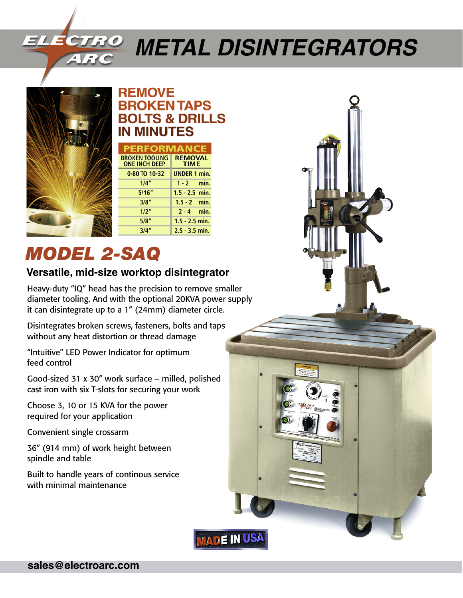# *Metal Disintegrators*



### **REMOVE BROKEN TAPS BOLTS & DRILLS IN MINUTES**

| <b>PERFORMANCE</b>                            |                               |
|-----------------------------------------------|-------------------------------|
| <b>BROKEN TOOLING</b><br><b>ONE INCH DEEP</b> | <b>REMOVAL</b><br><b>TIME</b> |
| 0-80 TO 10-32                                 | <b>UNDER 1 min.</b>           |
| 1/4"                                          | $1 - 2$ min.                  |
| 5/16''                                        | $1.5 - 2.5$ min.              |
| 3/8"                                          | $1.5 - 2$ min.                |
| 1/2"                                          | $2 - 4$ min.                  |
| 5/8"                                          | $1.5 - 2.5$ min.              |
| 3/4"                                          | $2.5 - 3.5$ min.              |

## *Model 2-SAQ*

#### **Versatile, mid-size worktop disintegrator**

Heavy-duty "IQ" head has the precision to remove smaller diameter tooling. And with the optional 20KVA power supply it can disintegrate up to a 1" (24mm) diameter circle.

Disintegrates broken screws, fasteners, bolts and taps without any heat distortion or thread damage

"Intuitive" LED Power Indicator for optimum feed control

Good-sized 31 x 30" work surface – milled, polished cast iron with six T-slots for securing your work

Choose 3, 10 or 15 KVA for the power required for your application

Convenient single crossarm

36" (914 mm) of work height between spindle and table

Built to handle years of continous service with minimal maintenance